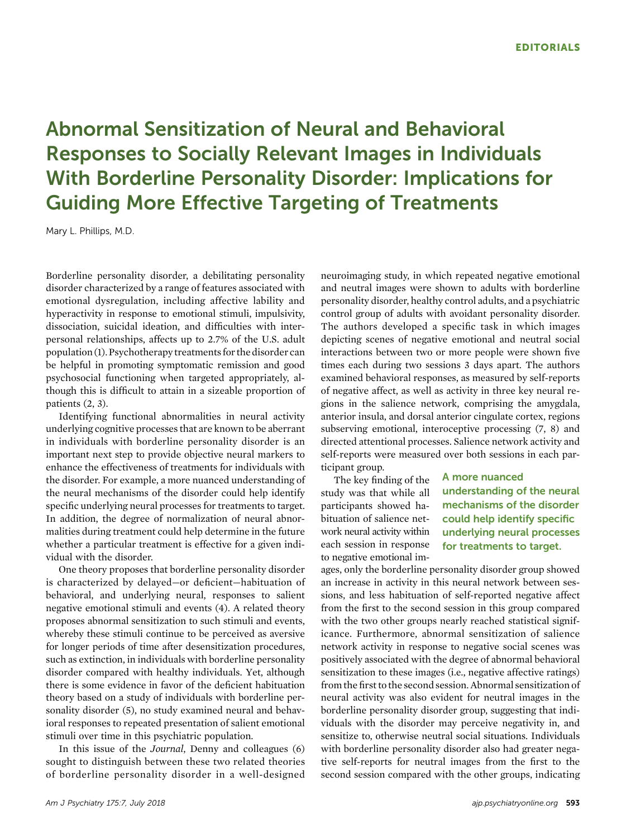## Abnormal Sensitization of Neural and Behavioral Responses to Socially Relevant Images in Individuals With Borderline Personality Disorder: Implications for Guiding More Effective Targeting of Treatments

Mary L. Phillips, M.D.

Borderline personality disorder, a debilitating personality disorder characterized by a range of features associated with emotional dysregulation, including affective lability and hyperactivity in response to emotional stimuli, impulsivity, dissociation, suicidal ideation, and difficulties with interpersonal relationships, affects up to 2.7% of the U.S. adult population (1). Psychotherapy treatments for the disorder can be helpful in promoting symptomatic remission and good psychosocial functioning when targeted appropriately, although this is difficult to attain in a sizeable proportion of patients (2, 3).

Identifying functional abnormalities in neural activity underlying cognitive processes that are known to be aberrant in individuals with borderline personality disorder is an important next step to provide objective neural markers to enhance the effectiveness of treatments for individuals with the disorder. For example, a more nuanced understanding of the neural mechanisms of the disorder could help identify specific underlying neural processes for treatments to target. In addition, the degree of normalization of neural abnormalities during treatment could help determine in the future whether a particular treatment is effective for a given individual with the disorder.

One theory proposes that borderline personality disorder is characterized by delayed—or deficient—habituation of behavioral, and underlying neural, responses to salient negative emotional stimuli and events (4). A related theory proposes abnormal sensitization to such stimuli and events, whereby these stimuli continue to be perceived as aversive for longer periods of time after desensitization procedures, such as extinction, in individuals with borderline personality disorder compared with healthy individuals. Yet, although there is some evidence in favor of the deficient habituation theory based on a study of individuals with borderline personality disorder (5), no study examined neural and behavioral responses to repeated presentation of salient emotional stimuli over time in this psychiatric population.

In this issue of the Journal, Denny and colleagues (6) sought to distinguish between these two related theories of borderline personality disorder in a well-designed neuroimaging study, in which repeated negative emotional and neutral images were shown to adults with borderline personality disorder, healthy control adults, and a psychiatric control group of adults with avoidant personality disorder. The authors developed a specific task in which images depicting scenes of negative emotional and neutral social interactions between two or more people were shown five times each during two sessions 3 days apart. The authors examined behavioral responses, as measured by self-reports of negative affect, as well as activity in three key neural regions in the salience network, comprising the amygdala, anterior insula, and dorsal anterior cingulate cortex, regions subserving emotional, interoceptive processing (7, 8) and directed attentional processes. Salience network activity and self-reports were measured over both sessions in each participant group.

The key finding of the study was that while all participants showed habituation of salience network neural activity within each session in response to negative emotional im-

## A more nuanced understanding of the neural mechanisms of the disorder could help identify specific underlying neural processes for treatments to target.

ages, only the borderline personality disorder group showed an increase in activity in this neural network between sessions, and less habituation of self-reported negative affect from the first to the second session in this group compared with the two other groups nearly reached statistical significance. Furthermore, abnormal sensitization of salience network activity in response to negative social scenes was positively associated with the degree of abnormal behavioral sensitization to these images (i.e., negative affective ratings) from the first to the second session. Abnormal sensitization of neural activity was also evident for neutral images in the borderline personality disorder group, suggesting that individuals with the disorder may perceive negativity in, and sensitize to, otherwise neutral social situations. Individuals with borderline personality disorder also had greater negative self-reports for neutral images from the first to the second session compared with the other groups, indicating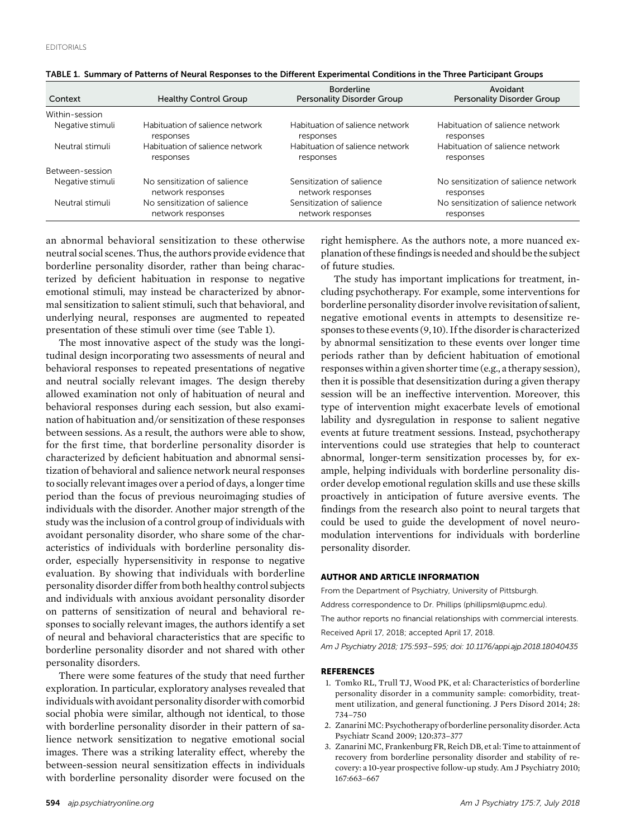| Context          | <b>Healthy Control Group</b>    | Borderline<br>Personality Disorder Group | Avoidant<br>Personality Disorder Group |  |
|------------------|---------------------------------|------------------------------------------|----------------------------------------|--|
| Within-session   |                                 |                                          |                                        |  |
| Negative stimuli | Habituation of salience network | Habituation of salience network          | Habituation of salience network        |  |
|                  | responses                       | responses                                | responses                              |  |
| Neutral stimuli  | Habituation of salience network | Habituation of salience network          | Habituation of salience network        |  |
|                  | responses                       | responses                                | responses                              |  |
| Between-session  |                                 |                                          |                                        |  |
| Negative stimuli | No sensitization of salience    | Sensitization of salience                | No sensitization of salience network   |  |
|                  | network responses               | network responses                        | responses                              |  |
| Neutral stimuli  | No sensitization of salience    | Sensitization of salience                | No sensitization of salience network   |  |
|                  | network responses               | network responses                        | responses                              |  |

|  |  |  | TABLE 1. Summary of Patterns of Neural Responses to the Different Experimental Conditions in the Three Participant Groups |
|--|--|--|---------------------------------------------------------------------------------------------------------------------------|
|  |  |  |                                                                                                                           |

an abnormal behavioral sensitization to these otherwise neutral social scenes. Thus, the authors provide evidence that borderline personality disorder, rather than being characterized by deficient habituation in response to negative emotional stimuli, may instead be characterized by abnormal sensitization to salient stimuli, such that behavioral, and underlying neural, responses are augmented to repeated presentation of these stimuli over time (see Table 1).

The most innovative aspect of the study was the longitudinal design incorporating two assessments of neural and behavioral responses to repeated presentations of negative and neutral socially relevant images. The design thereby allowed examination not only of habituation of neural and behavioral responses during each session, but also examination of habituation and/or sensitization of these responses between sessions. As a result, the authors were able to show, for the first time, that borderline personality disorder is characterized by deficient habituation and abnormal sensitization of behavioral and salience network neural responses to socially relevant images over a period of days, a longer time period than the focus of previous neuroimaging studies of individuals with the disorder. Another major strength of the study was the inclusion of a control group of individuals with avoidant personality disorder, who share some of the characteristics of individuals with borderline personality disorder, especially hypersensitivity in response to negative evaluation. By showing that individuals with borderline personality disorder differ from both healthy control subjects and individuals with anxious avoidant personality disorder on patterns of sensitization of neural and behavioral responses to socially relevant images, the authors identify a set of neural and behavioral characteristics that are specific to borderline personality disorder and not shared with other personality disorders.

There were some features of the study that need further exploration. In particular, exploratory analyses revealed that individuals with avoidant personality disorder with comorbid social phobia were similar, although not identical, to those with borderline personality disorder in their pattern of salience network sensitization to negative emotional social images. There was a striking laterality effect, whereby the between-session neural sensitization effects in individuals with borderline personality disorder were focused on the

right hemisphere. As the authors note, a more nuanced explanation of thesefindingsis needed and should be the subject of future studies.

The study has important implications for treatment, including psychotherapy. For example, some interventions for borderline personality disorder involve revisitation of salient, negative emotional events in attempts to desensitize responses to these events (9, 10). If the disorder is characterized by abnormal sensitization to these events over longer time periods rather than by deficient habituation of emotional responses within a given shorter time (e.g., a therapy session), then it is possible that desensitization during a given therapy session will be an ineffective intervention. Moreover, this type of intervention might exacerbate levels of emotional lability and dysregulation in response to salient negative events at future treatment sessions. Instead, psychotherapy interventions could use strategies that help to counteract abnormal, longer-term sensitization processes by, for example, helping individuals with borderline personality disorder develop emotional regulation skills and use these skills proactively in anticipation of future aversive events. The findings from the research also point to neural targets that could be used to guide the development of novel neuromodulation interventions for individuals with borderline personality disorder.

## AUTHOR AND ARTICLE INFORMATION

From the Department of Psychiatry, University of Pittsburgh. Address correspondence to Dr. Phillips [\(phillipsml@upmc.edu\)](mailto:phillipsml@upmc.edu). The author reports no financial relationships with commercial interests. Received April 17, 2018; accepted April 17, 2018.

Am J Psychiatry 2018; 175:593–595; doi: 10.1176/appi.ajp.2018.18040435

## **REFERENCES**

- 1. Tomko RL, Trull TJ, Wood PK, et al: Characteristics of borderline personality disorder in a community sample: comorbidity, treatment utilization, and general functioning. J Pers Disord 2014; 28: 734–750
- 2. Zanarini MC: Psychotherapy of borderline personality disorder. Acta Psychiatr Scand 2009; 120:373–377
- 3. Zanarini MC, Frankenburg FR, Reich DB, et al: Time to attainment of recovery from borderline personality disorder and stability of recovery: a 10-year prospective follow-up study. Am J Psychiatry 2010; 167:663–667